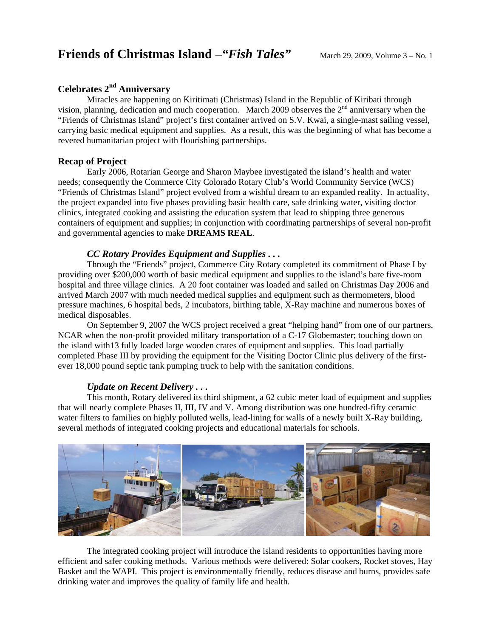# **Celebrates 2nd Anniversary**

Miracles are happening on Kiritimati (Christmas) Island in the Republic of Kiribati through vision, planning, dedication and much cooperation. March 2009 observes the  $2<sup>nd</sup>$  anniversary when the "Friends of Christmas Island" project's first container arrived on S.V. Kwai, a single-mast sailing vessel, carrying basic medical equipment and supplies. As a result, this was the beginning of what has become a revered humanitarian project with flourishing partnerships.

## **Recap of Project**

Early 2006, Rotarian George and Sharon Maybee investigated the island's health and water needs; consequently the Commerce City Colorado Rotary Club's World Community Service (WCS) "Friends of Christmas Island" project evolved from a wishful dream to an expanded reality. In actuality, the project expanded into five phases providing basic health care, safe drinking water, visiting doctor clinics, integrated cooking and assisting the education system that lead to shipping three generous containers of equipment and supplies; in conjunction with coordinating partnerships of several non-profit and governmental agencies to make **DREAMS REAL**.

## *CC Rotary Provides Equipment and Supplies . . .*

Through the "Friends" project, Commerce City Rotary completed its commitment of Phase I by providing over \$200,000 worth of basic medical equipment and supplies to the island's bare five-room hospital and three village clinics. A 20 foot container was loaded and sailed on Christmas Day 2006 and arrived March 2007 with much needed medical supplies and equipment such as thermometers, blood pressure machines, 6 hospital beds, 2 incubators, birthing table, X-Ray machine and numerous boxes of medical disposables.

On September 9, 2007 the WCS project received a great "helping hand" from one of our partners, NCAR when the non-profit provided military transportation of a C-17 Globemaster; touching down on the island with13 fully loaded large wooden crates of equipment and supplies. This load partially completed Phase III by providing the equipment for the Visiting Doctor Clinic plus delivery of the firstever 18,000 pound septic tank pumping truck to help with the sanitation conditions.

## *Update on Recent Delivery . . .*

This month, Rotary delivered its third shipment, a 62 cubic meter load of equipment and supplies that will nearly complete Phases II, III, IV and V. Among distribution was one hundred-fifty ceramic water filters to families on highly polluted wells, lead-lining for walls of a newly built X-Ray building, several methods of integrated cooking projects and educational materials for schools.



The integrated cooking project will introduce the island residents to opportunities having more efficient and safer cooking methods. Various methods were delivered: Solar cookers, Rocket stoves, Hay Basket and the WAPI.This project is environmentally friendly, reduces disease and burns, provides safe drinking water and improves the quality of family life and health.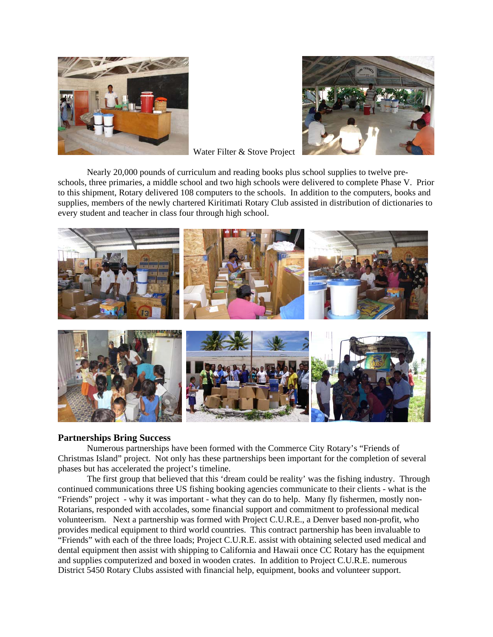



Water Filter & Stove Project

Nearly 20,000 pounds of curriculum and reading books plus school supplies to twelve preschools, three primaries, a middle school and two high schools were delivered to complete Phase V. Prior to this shipment, Rotary delivered 108 computers to the schools. In addition to the computers, books and supplies, members of the newly chartered Kiritimati Rotary Club assisted in distribution of dictionaries to every student and teacher in class four through high school.



#### **Partnerships Bring Success**

Numerous partnerships have been formed with the Commerce City Rotary's "Friends of Christmas Island" project. Not only has these partnerships been important for the completion of several phases but has accelerated the project's timeline.

The first group that believed that this 'dream could be reality' was the fishing industry. Through continued communications three US fishing booking agencies communicate to their clients - what is the "Friends" project - why it was important - what they can do to help. Many fly fishermen, mostly non-Rotarians, responded with accolades, some financial support and commitment to professional medical volunteerism. Next a partnership was formed with Project C.U.R.E., a Denver based non-profit, who provides medical equipment to third world countries. This contract partnership has been invaluable to "Friends" with each of the three loads; Project C.U.R.E. assist with obtaining selected used medical and dental equipment then assist with shipping to California and Hawaii once CC Rotary has the equipment and supplies computerized and boxed in wooden crates. In addition to Project C.U.R.E. numerous District 5450 Rotary Clubs assisted with financial help, equipment, books and volunteer support.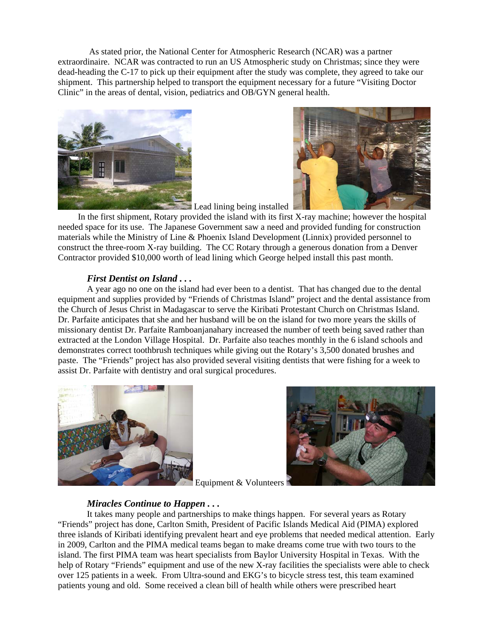As stated prior, the National Center for Atmospheric Research (NCAR) was a partner extraordinaire. NCAR was contracted to run an US Atmospheric study on Christmas; since they were dead-heading the C-17 to pick up their equipment after the study was complete, they agreed to take our shipment. This partnership helped to transport the equipment necessary for a future "Visiting Doctor Clinic" in the areas of dental, vision, pediatrics and OB/GYN general health.





Lead lining being installed In the first shipment, Rotary provided the island with its first X-ray machine; however the hospital needed space for its use. The Japanese Government saw a need and provided funding for construction materials while the Ministry of Line & Phoenix Island Development (Linnix) provided personnel to construct the three-room X-ray building. The CC Rotary through a generous donation from a Denver Contractor provided \$10,000 worth of lead lining which George helped install this past month.

### *First Dentist on Island . . .*

A year ago no one on the island had ever been to a dentist. That has changed due to the dental equipment and supplies provided by "Friends of Christmas Island" project and the dental assistance from the Church of Jesus Christ in Madagascar to serve the Kiribati Protestant Church on Christmas Island. Dr. Parfaite anticipates that she and her husband will be on the island for two more years the skills of missionary dentist Dr. Parfaite Ramboanjanahary increased the number of teeth being saved rather than extracted at the London Village Hospital. Dr. Parfaite also teaches monthly in the 6 island schools and demonstrates correct toothbrush techniques while giving out the Rotary's 3,500 donated brushes and paste. The "Friends" project has also provided several visiting dentists that were fishing for a week to assist Dr. Parfaite with dentistry and oral surgical procedures.





Equipment & Volunteers

### *Miracles Continue to Happen . . .*

It takes many people and partnerships to make things happen. For several years as Rotary "Friends" project has done, Carlton Smith, President of Pacific Islands Medical Aid (PIMA) explored three islands of Kiribati identifying prevalent heart and eye problems that needed medical attention. Early in 2009, Carlton and the PIMA medical teams began to make dreams come true with two tours to the island. The first PIMA team was heart specialists from Baylor University Hospital in Texas. With the help of Rotary "Friends" equipment and use of the new X-ray facilities the specialists were able to check over 125 patients in a week. From Ultra-sound and EKG's to bicycle stress test, this team examined patients young and old. Some received a clean bill of health while others were prescribed heart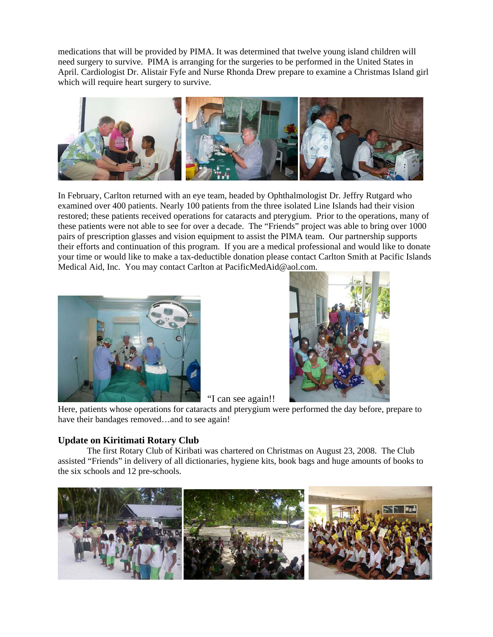medications that will be provided by PIMA. It was determined that twelve young island children will need surgery to survive. PIMA is arranging for the surgeries to be performed in the United States in April. Cardiologist Dr. Alistair Fyfe and Nurse Rhonda Drew prepare to examine a Christmas Island girl which will require heart surgery to survive.



In February, Carlton returned with an eye team, headed by Ophthalmologist Dr. Jeffry Rutgard who examined over 400 patients. Nearly 100 patients from the three isolated Line Islands had their vision restored; these patients received operations for cataracts and pterygium. Prior to the operations, many of these patients were not able to see for over a decade. The "Friends" project was able to bring over 1000 pairs of prescription glasses and vision equipment to assist the PIMA team. Our partnership supports their efforts and continuation of this program. If you are a medical professional and would like to donate your time or would like to make a tax-deductible donation please contact Carlton Smith at Pacific Islands Medical Aid, Inc. You may contact Carlton at PacificMedAid@aol.com.



 "I can see again!! Here, patients whose operations for cataracts and pterygium were performed the day before, prepare to have their bandages removed...and to see again!

## **Update on Kiritimati Rotary Club**

The first Rotary Club of Kiribati was chartered on Christmas on August 23, 2008. The Club assisted "Friends" in delivery of all dictionaries, hygiene kits, book bags and huge amounts of books to the six schools and 12 pre-schools.